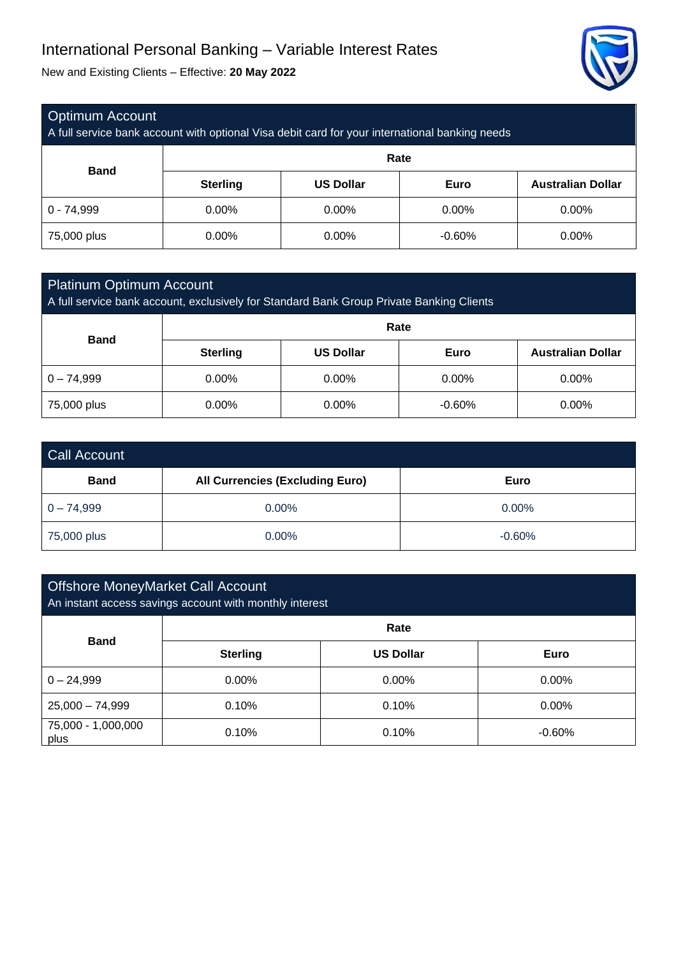# International Personal Banking – Variable Interest Rates

New and Existing Clients – Effective: **20 May 2022**



### Optimum Account

A full service bank account with optional Visa debit card for your international banking needs

| <b>Band</b>  | Rate            |                  |             |                          |
|--------------|-----------------|------------------|-------------|--------------------------|
|              | <b>Sterling</b> | <b>US Dollar</b> | <b>Euro</b> | <b>Australian Dollar</b> |
| $0 - 74,999$ | $0.00\%$        | $0.00\%$         | 0.00%       | $0.00\%$                 |
| 75,000 plus  | $0.00\%$        | $0.00\%$         | $-0.60%$    | $0.00\%$                 |

### Platinum Optimum Account

A full service bank account, exclusively for Standard Bank Group Private Banking Clients

| <b>Band</b>  | Rate            |                  |             |                          |
|--------------|-----------------|------------------|-------------|--------------------------|
|              | <b>Sterling</b> | <b>US Dollar</b> | <b>Euro</b> | <b>Australian Dollar</b> |
| $0 - 74,999$ | $0.00\%$        | $0.00\%$         | 0.00%       | 0.00%                    |
| 75,000 plus  | 0.00%           | $0.00\%$         | $-0.60%$    | 0.00%                    |

| <b>Call Account</b> |                                        |          |  |  |
|---------------------|----------------------------------------|----------|--|--|
| <b>Band</b>         | <b>All Currencies (Excluding Euro)</b> | Euro     |  |  |
| $0 - 74,999$        | 0.00%                                  | $0.00\%$ |  |  |
| 75,000 plus         | $0.00\%$                               | $-0.60%$ |  |  |

## Offshore MoneyMarket Call Account An instant access savings account with monthly interest **Band Rate Sterling US Dollar Euro**  $0 - 24,999$  0.00% 0.00% 0.00% 0.00% 0.00% 25,000 – 74,999 0.10% 0.10% 0.00% 75,000 - 1,000,000 plus 0.10% 0.10% -0.60%